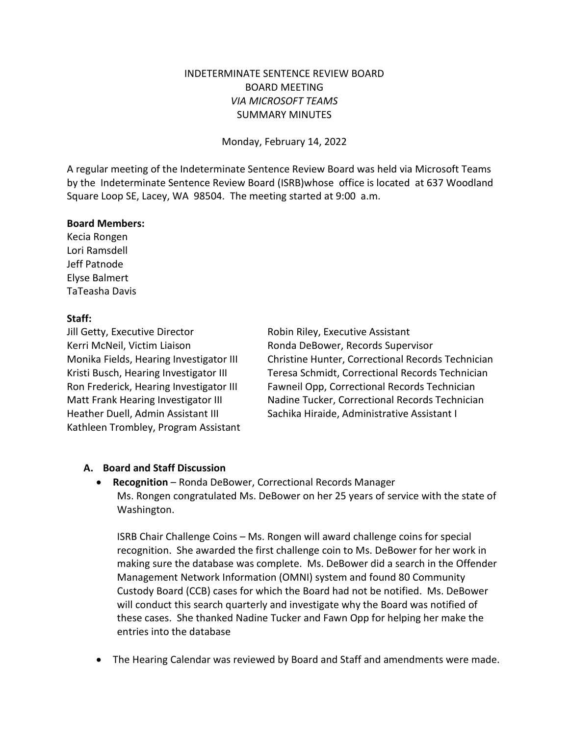## INDETERMINATE SENTENCE REVIEW BOARD BOARD MEETING *VIA MICROSOFT TEAMS* SUMMARY MINUTES

Monday, February 14, 2022

A regular meeting of the Indeterminate Sentence Review Board was held via Microsoft Teams by the Indeterminate Sentence Review Board (ISRB)whose office is located at 637 Woodland Square Loop SE, Lacey, WA 98504. The meeting started at 9:00 a.m.

#### **Board Members:**

Kecia Rongen Lori Ramsdell Jeff Patnode Elyse Balmert TaTeasha Davis

### **Staff:**

Jill Getty, Executive Director **Robin Riley**, Executive Assistant Kerri McNeil, Victim Liaison Ronda DeBower, Records Supervisor Kathleen Trombley, Program Assistant

Monika Fields, Hearing Investigator III Christine Hunter, Correctional Records Technician Kristi Busch, Hearing Investigator III Teresa Schmidt, Correctional Records Technician Ron Frederick, Hearing Investigator III Fawneil Opp, Correctional Records Technician Matt Frank Hearing Investigator III Nadine Tucker, Correctional Records Technician Heather Duell, Admin Assistant III Sachika Hiraide, Administrative Assistant I

### **A. Board and Staff Discussion**

• **Recognition** – Ronda DeBower, Correctional Records Manager Ms. Rongen congratulated Ms. DeBower on her 25 years of service with the state of Washington.

ISRB Chair Challenge Coins – Ms. Rongen will award challenge coins for special recognition. She awarded the first challenge coin to Ms. DeBower for her work in making sure the database was complete. Ms. DeBower did a search in the Offender Management Network Information (OMNI) system and found 80 Community Custody Board (CCB) cases for which the Board had not be notified. Ms. DeBower will conduct this search quarterly and investigate why the Board was notified of these cases. She thanked Nadine Tucker and Fawn Opp for helping her make the entries into the database

• The Hearing Calendar was reviewed by Board and Staff and amendments were made.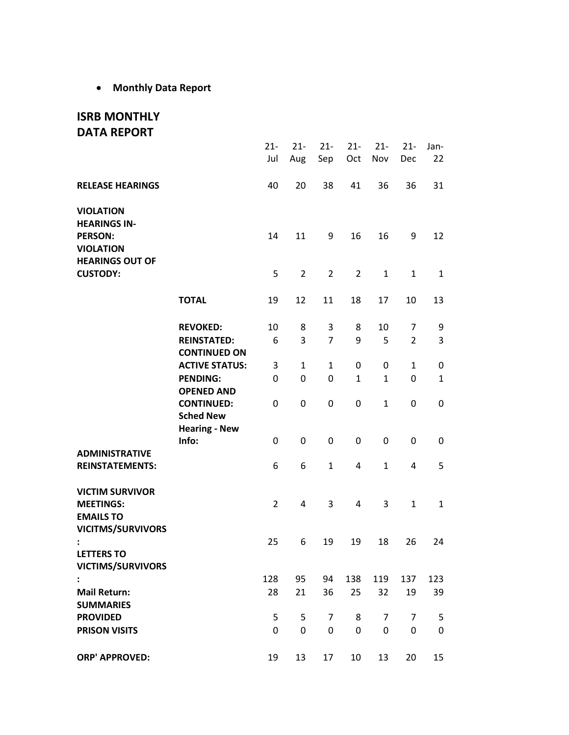• **Monthly Data Report**

# **ISRB MONTHLY DATA REPORT**

|                                                                                                         |                                           | $21 -$<br>Jul  | $21 -$<br>Aug  | $21 -$<br>Sep  | $21 -$<br>Oct  | $21 -$<br>Nov | $21 -$<br>Dec  | Jan-<br>22       |
|---------------------------------------------------------------------------------------------------------|-------------------------------------------|----------------|----------------|----------------|----------------|---------------|----------------|------------------|
| <b>RELEASE HEARINGS</b>                                                                                 |                                           | 40             | 20             | 38             | 41             | 36            | 36             | 31               |
| <b>VIOLATION</b><br><b>HEARINGS IN-</b><br><b>PERSON:</b><br><b>VIOLATION</b><br><b>HEARINGS OUT OF</b> |                                           | 14             | 11             | 9              | 16             | 16            | 9              | 12               |
| <b>CUSTODY:</b>                                                                                         |                                           | 5              | $\overline{2}$ | $\overline{2}$ | $\overline{2}$ | $\mathbf{1}$  | 1              | $\mathbf{1}$     |
|                                                                                                         | <b>TOTAL</b>                              | 19             | 12             | 11             | 18             | 17            | 10             | 13               |
|                                                                                                         | <b>REVOKED:</b>                           | 10             | 8              | 3              | 8              | 10            | 7              | 9                |
|                                                                                                         | <b>REINSTATED:</b><br><b>CONTINUED ON</b> | 6              | 3              | $\overline{7}$ | 9              | 5             | $\overline{2}$ | 3                |
|                                                                                                         | <b>ACTIVE STATUS:</b>                     | 3              | $\mathbf{1}$   | $\mathbf{1}$   | 0              | 0             | $\mathbf{1}$   | 0                |
|                                                                                                         | <b>PENDING:</b>                           | 0              | 0              | 0              | $\mathbf{1}$   | $\mathbf{1}$  | 0              | $\mathbf{1}$     |
|                                                                                                         | <b>OPENED AND</b>                         |                |                |                |                |               |                |                  |
|                                                                                                         | <b>CONTINUED:</b><br><b>Sched New</b>     | 0              | 0              | 0              | 0              | $\mathbf{1}$  | 0              | 0                |
|                                                                                                         | <b>Hearing - New</b><br>Info:             | 0              | 0              | 0              | 0              | 0             | 0              | 0                |
| <b>ADMINISTRATIVE</b><br><b>REINSTATEMENTS:</b>                                                         |                                           | 6              | 6              | $\mathbf{1}$   | 4              | $\mathbf{1}$  | 4              | 5                |
| <b>VICTIM SURVIVOR</b><br><b>MEETINGS:</b><br><b>EMAILS TO</b>                                          |                                           | $\overline{2}$ | 4              | 3              | 4              | 3             | $\mathbf{1}$   | $\mathbf{1}$     |
| <b>VICITMS/SURVIVORS</b><br><b>LETTERS TO</b>                                                           |                                           | 25             | 6              | 19             | 19             | 18            | 26             | 24               |
| <b>VICTIMS/SURVIVORS</b>                                                                                |                                           |                |                |                |                |               |                |                  |
| $\ddot{\cdot}$                                                                                          |                                           | 128            | 95             | 94             | 138            | 119           | 137            | 123              |
| <b>Mail Return:</b><br><b>SUMMARIES</b>                                                                 |                                           | 28             | 21             | 36             | 25             | 32            | 19             | 39               |
| <b>PROVIDED</b>                                                                                         |                                           | 5              | 5              | 7              | 8              | 7             | 7              | 5                |
| <b>PRISON VISITS</b>                                                                                    |                                           | 0              | 0              | 0              | 0              | 0             | 0              | $\boldsymbol{0}$ |
| <b>ORP' APPROVED:</b>                                                                                   |                                           | 19             | 13             | 17             | 10             | 13            | 20             | 15               |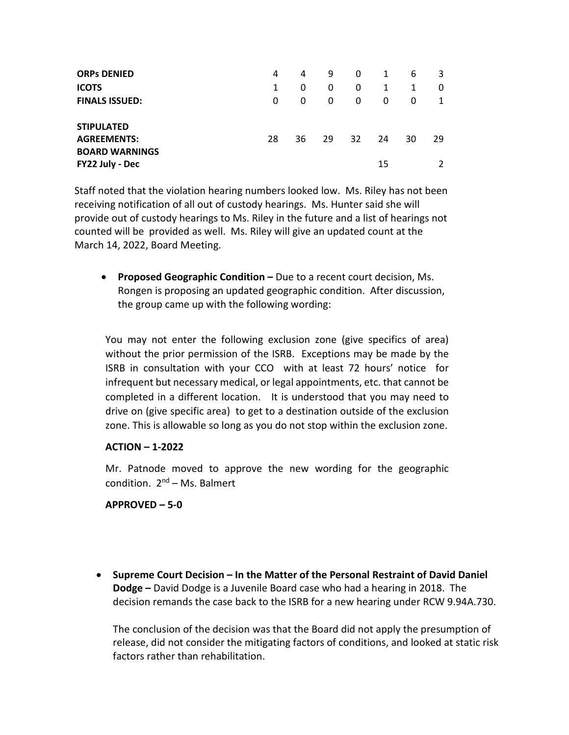| <b>ORPS DENIED</b><br><b>ICOTS</b><br><b>FINALS ISSUED:</b>                         | 4<br>1<br>0 | 4<br>0<br>0 | 9<br>0<br>0 | 0<br>0<br>0 | 1<br>1<br>0 | 6<br>0 | 3<br>0 |
|-------------------------------------------------------------------------------------|-------------|-------------|-------------|-------------|-------------|--------|--------|
| <b>STIPULATED</b><br><b>AGREEMENTS:</b><br><b>BOARD WARNINGS</b><br>FY22 July - Dec | 28          | 36          | 29          | 32 ·        | 24<br>15    | 30     | 29     |

Staff noted that the violation hearing numbers looked low. Ms. Riley has not been receiving notification of all out of custody hearings. Ms. Hunter said she will provide out of custody hearings to Ms. Riley in the future and a list of hearings not counted will be provided as well. Ms. Riley will give an updated count at the March 14, 2022, Board Meeting.

• **Proposed Geographic Condition –** Due to a recent court decision, Ms. Rongen is proposing an updated geographic condition. After discussion, the group came up with the following wording:

You may not enter the following exclusion zone (give specifics of area) without the prior permission of the ISRB. Exceptions may be made by the ISRB in consultation with your CCO with at least 72 hours' notice for infrequent but necessary medical, or legal appointments, etc. that cannot be completed in a different location. It is understood that you may need to drive on (give specific area) to get to a destination outside of the exclusion zone. This is allowable so long as you do not stop within the exclusion zone.

### **ACTION – 1-2022**

Mr. Patnode moved to approve the new wording for the geographic condition.  $2^{nd}$  – Ms. Balmert

### **APPROVED – 5-0**

• **Supreme Court Decision – In the Matter of the Personal Restraint of David Daniel Dodge –** David Dodge is a Juvenile Board case who had a hearing in 2018. The decision remands the case back to the ISRB for a new hearing under RCW 9.94A.730.

The conclusion of the decision was that the Board did not apply the presumption of release, did not consider the mitigating factors of conditions, and looked at static risk factors rather than rehabilitation.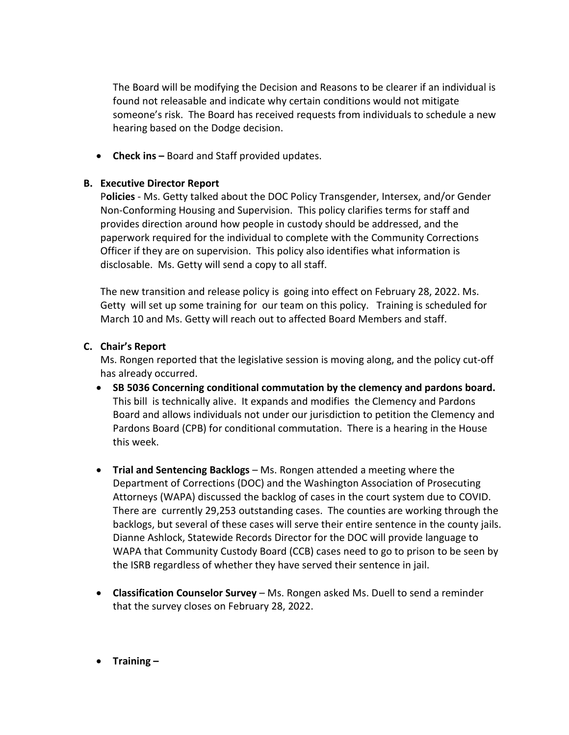The Board will be modifying the Decision and Reasons to be clearer if an individual is found not releasable and indicate why certain conditions would not mitigate someone's risk. The Board has received requests from individuals to schedule a new hearing based on the Dodge decision.

• **Check ins –** Board and Staff provided updates.

## **B. Executive Director Report**

P**olicies** - Ms. Getty talked about the DOC Policy Transgender, Intersex, and/or Gender Non-Conforming Housing and Supervision. This policy clarifies terms for staff and provides direction around how people in custody should be addressed, and the paperwork required for the individual to complete with the Community Corrections Officer if they are on supervision. This policy also identifies what information is disclosable. Ms. Getty will send a copy to all staff.

The new transition and release policy is going into effect on February 28, 2022. Ms. Getty will set up some training for our team on this policy. Training is scheduled for March 10 and Ms. Getty will reach out to affected Board Members and staff.

## **C. Chair's Report**

Ms. Rongen reported that the legislative session is moving along, and the policy cut-off has already occurred.

- **SB 5036 Concerning conditional commutation by the clemency and pardons board.** This bill is technically alive. It expands and modifies the Clemency and Pardons Board and allows individuals not under our jurisdiction to petition the Clemency and Pardons Board (CPB) for conditional commutation. There is a hearing in the House this week.
- **Trial and Sentencing Backlogs** Ms. Rongen attended a meeting where the Department of Corrections (DOC) and the Washington Association of Prosecuting Attorneys (WAPA) discussed the backlog of cases in the court system due to COVID. There are currently 29,253 outstanding cases. The counties are working through the backlogs, but several of these cases will serve their entire sentence in the county jails. Dianne Ashlock, Statewide Records Director for the DOC will provide language to WAPA that Community Custody Board (CCB) cases need to go to prison to be seen by the ISRB regardless of whether they have served their sentence in jail.
- **Classification Counselor Survey** Ms. Rongen asked Ms. Duell to send a reminder that the survey closes on February 28, 2022.
- **Training –**